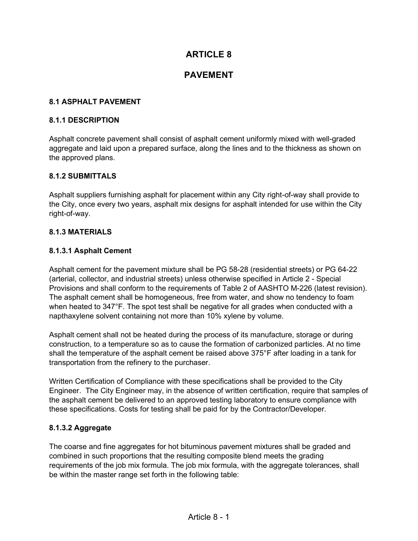# **ARTICLE 8**

## **PAVEMENT**

#### **8.1 ASPHALT PAVEMENT**

#### **8.1.1 DESCRIPTION**

Asphalt concrete pavement shall consist of asphalt cement uniformly mixed with well-graded aggregate and laid upon a prepared surface, along the lines and to the thickness as shown on the approved plans.

#### **8.1.2 SUBMITTALS**

Asphalt suppliers furnishing asphalt for placement within any City right-of-way shall provide to the City, once every two years, asphalt mix designs for asphalt intended for use within the City right-of-way.

#### **8.1.3 MATERIALS**

### **8.1.3.1 Asphalt Cement**

Asphalt cement for the pavement mixture shall be PG 58-28 (residential streets) or PG 64-22 (arterial, collector, and industrial streets) unless otherwise specified in Article 2 - Special Provisions and shall conform to the requirements of Table 2 of AASHTO M-226 (latest revision). The asphalt cement shall be homogeneous, free from water, and show no tendency to foam when heated to 347°F. The spot test shall be negative for all grades when conducted with a napthaxylene solvent containing not more than 10% xylene by volume.

Asphalt cement shall not be heated during the process of its manufacture, storage or during construction, to a temperature so as to cause the formation of carbonized particles. At no time shall the temperature of the asphalt cement be raised above 375°F after loading in a tank for transportation from the refinery to the purchaser.

Written Certification of Compliance with these specifications shall be provided to the City Engineer. The City Engineer may, in the absence of written certification, require that samples of the asphalt cement be delivered to an approved testing laboratory to ensure compliance with these specifications. Costs for testing shall be paid for by the Contractor/Developer.

#### **8.1.3.2 Aggregate**

The coarse and fine aggregates for hot bituminous pavement mixtures shall be graded and combined in such proportions that the resulting composite blend meets the grading requirements of the job mix formula. The job mix formula, with the aggregate tolerances, shall be within the master range set forth in the following table: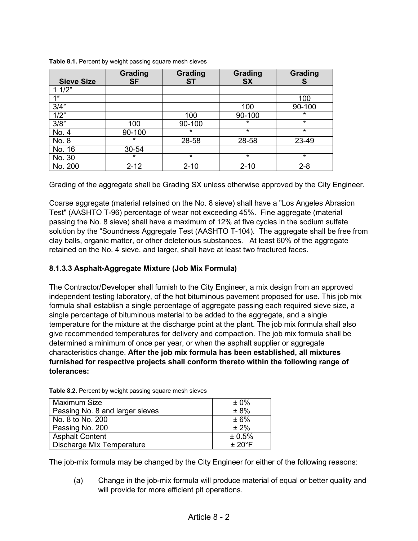| <b>Sieve Size</b> | Grading<br><b>SF</b> | Grading<br>ST | Grading<br><b>SX</b> | Grading<br>S |
|-------------------|----------------------|---------------|----------------------|--------------|
| 11/2"             |                      |               |                      |              |
| 1 <sup>n</sup>    |                      |               |                      | 100          |
| 3/4"              |                      |               | 100                  | 90-100       |
| 1/2"              |                      | 100           | 90-100               | $\star$      |
| 3/8"              | 100                  | 90-100        | $\star$              | $\star$      |
| No. 4             | 90-100               | $\star$       | $\star$              | $\star$      |
| No. 8             | $\star$              | 28-58         | 28-58                | 23-49        |
| No. 16            | 30-54                |               |                      |              |
| No. 30            | $\star$              | *             | $\star$              | $\star$      |
| No. 200           | $2 - 12$             | $2 - 10$      | $2 - 10$             | $2 - 8$      |

**Table 8.1.** Percent by weight passing square mesh sieves

Grading of the aggregate shall be Grading SX unless otherwise approved by the City Engineer.

Coarse aggregate (material retained on the No. 8 sieve) shall have a "Los Angeles Abrasion Test" (AASHTO T-96) percentage of wear not exceeding 45%. Fine aggregate (material passing the No. 8 sieve) shall have a maximum of 12% at five cycles in the sodium sulfate solution by the "Soundness Aggregate Test (AASHTO T-104). The aggregate shall be free from clay balls, organic matter, or other deleterious substances. At least 60% of the aggregate retained on the No. 4 sieve, and larger, shall have at least two fractured faces.

### **8.1.3.3 Asphalt-Aggregate Mixture (Job Mix Formula)**

The Contractor/Developer shall furnish to the City Engineer, a mix design from an approved independent testing laboratory, of the hot bituminous pavement proposed for use. This job mix formula shall establish a single percentage of aggregate passing each required sieve size, a single percentage of bituminous material to be added to the aggregate, and a single temperature for the mixture at the discharge point at the plant. The job mix formula shall also give recommended temperatures for delivery and compaction. The job mix formula shall be determined a minimum of once per year, or when the asphalt supplier or aggregate characteristics change. **After the job mix formula has been established, all mixtures furnished for respective projects shall conform thereto within the following range of tolerances:**

| Maximum Size                    | $±0\%$          |
|---------------------------------|-----------------|
| Passing No. 8 and larger sieves | ± 8%            |
| No. 8 to No. 200                | ± 6%            |
| Passing No. 200                 | $± 2\%$         |
| <b>Asphalt Content</b>          | ± 0.5%          |
| Discharge Mix Temperature       | $+20^{\circ}$ F |

**Table 8.2.** Percent by weight passing square mesh sieves

The job-mix formula may be changed by the City Engineer for either of the following reasons:

(a) Change in the job-mix formula will produce material of equal or better quality and will provide for more efficient pit operations.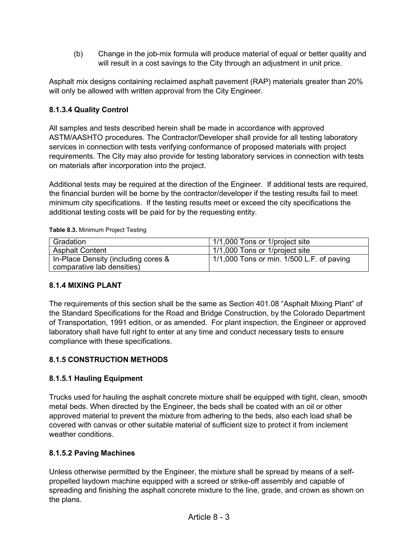(b) Change in the job-mix formula will produce material of equal or better quality and will result in a cost savings to the City through an adjustment in unit price.

Asphalt mix designs containing reclaimed asphalt pavement (RAP) materials greater than 20% will only be allowed with written approval from the City Engineer.

## **8.1.3.4 Quality Control**

All samples and tests described herein shall be made in accordance with approved ASTM/AASHTO procedures. The Contractor/Developer shall provide for all testing laboratory services in connection with tests verifying conformance of proposed materials with project requirements. The City may also provide for testing laboratory services in connection with tests on materials after incorporation into the project.

Additional tests may be required at the direction of the Engineer. If additional tests are required, the financial burden will be borne by the contractor/developer if the testing results fail to meet minimum city specifications. If the testing results meet or exceed the city specifications the additional testing costs will be paid for by the requesting entity.

| Gradation                                                         | 1/1,000 Tons or 1/project site                    |
|-------------------------------------------------------------------|---------------------------------------------------|
| <b>Asphalt Content</b>                                            | 1/1,000 Tons or 1/project site                    |
| In-Place Density (including cores &<br>comparative lab densities) | $\vert$ 1/1,000 Tons or min. 1/500 L.F. of paving |

**Table 8.3.** Minimum Project Testing

### **8.1.4 MIXING PLANT**

The requirements of this section shall be the same as Section 401.08 "Asphalt Mixing Plant" of the Standard Specifications for the Road and Bridge Construction, by the Colorado Department of Transportation, 1991 edition, or as amended. For plant inspection, the Engineer or approved laboratory shall have full right to enter at any time and conduct necessary tests to ensure compliance with these specifications.

## **8.1.5 CONSTRUCTION METHODS**

### **8.1.5.1 Hauling Equipment**

Trucks used for hauling the asphalt concrete mixture shall be equipped with tight, clean, smooth metal beds. When directed by the Engineer, the beds shall be coated with an oil or other approved material to prevent the mixture from adhering to the beds, also each load shall be covered with canvas or other suitable material of sufficient size to protect it from inclement weather conditions.

### **8.1.5.2 Paving Machines**

Unless otherwise permitted by the Engineer, the mixture shall be spread by means of a selfpropelled laydown machine equipped with a screed or strike-off assembly and capable of spreading and finishing the asphalt concrete mixture to the line, grade, and crown as shown on the plans.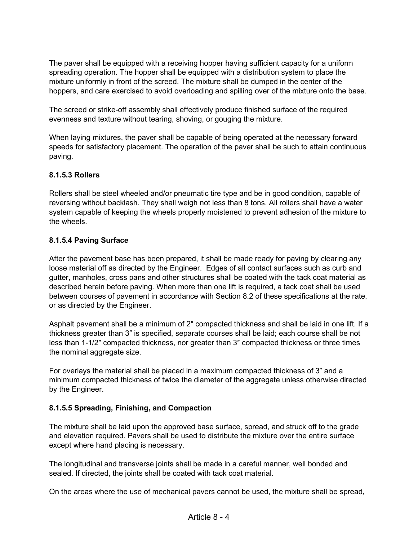The paver shall be equipped with a receiving hopper having sufficient capacity for a uniform spreading operation. The hopper shall be equipped with a distribution system to place the mixture uniformly in front of the screed. The mixture shall be dumped in the center of the hoppers, and care exercised to avoid overloading and spilling over of the mixture onto the base.

The screed or strike-off assembly shall effectively produce finished surface of the required evenness and texture without tearing, shoving, or gouging the mixture.

When laying mixtures, the paver shall be capable of being operated at the necessary forward speeds for satisfactory placement. The operation of the paver shall be such to attain continuous paving.

### **8.1.5.3 Rollers**

Rollers shall be steel wheeled and/or pneumatic tire type and be in good condition, capable of reversing without backlash. They shall weigh not less than 8 tons. All rollers shall have a water system capable of keeping the wheels properly moistened to prevent adhesion of the mixture to the wheels.

### **8.1.5.4 Paving Surface**

After the pavement base has been prepared, it shall be made ready for paving by clearing any loose material off as directed by the Engineer. Edges of all contact surfaces such as curb and gutter, manholes, cross pans and other structures shall be coated with the tack coat material as described herein before paving. When more than one lift is required, a tack coat shall be used between courses of pavement in accordance with Section 8.2 of these specifications at the rate, or as directed by the Engineer.

Asphalt pavement shall be a minimum of 2″ compacted thickness and shall be laid in one lift. If a thickness greater than 3″ is specified, separate courses shall be laid; each course shall be not less than 1-1/2″ compacted thickness, nor greater than 3″ compacted thickness or three times the nominal aggregate size.

For overlays the material shall be placed in a maximum compacted thickness of 3" and a minimum compacted thickness of twice the diameter of the aggregate unless otherwise directed by the Engineer.

#### **8.1.5.5 Spreading, Finishing, and Compaction**

The mixture shall be laid upon the approved base surface, spread, and struck off to the grade and elevation required. Pavers shall be used to distribute the mixture over the entire surface except where hand placing is necessary.

The longitudinal and transverse joints shall be made in a careful manner, well bonded and sealed. If directed, the joints shall be coated with tack coat material.

On the areas where the use of mechanical pavers cannot be used, the mixture shall be spread,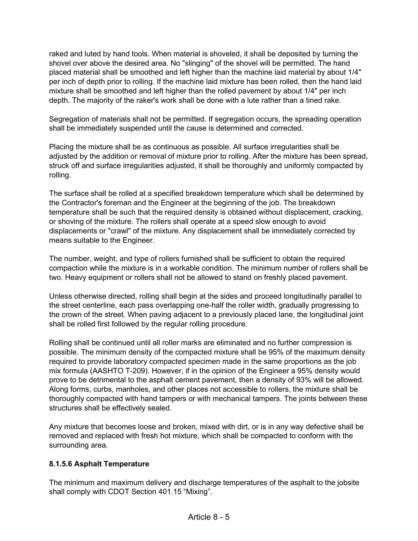raked and luted by hand tools. When material is shoveled, it shall be deposited by turning the shovel over above the desired area. No "slinging" of the shovel will be permitted. The hand placed material shall be smoothed and left higher than the machine laid material by about 1/4″ per inch of depth prior to rolling. If the machine laid mixture has been rolled, then the hand laid mixture shall be smoothed and left higher than the rolled pavement by about 1/4″ per inch depth. The majority of the raker's work shall be done with a lute rather than a tined rake.

Segregation of materials shall not be permitted. If segregation occurs, the spreading operation shall be immediately suspended until the cause is determined and corrected.

Placing the mixture shall be as continuous as possible. All surface irregularities shall be adjusted by the addition or removal of mixture prior to rolling. After the mixture has been spread, struck off and surface irregularities adjusted, it shall be thoroughly and uniformly compacted by rolling.

The surface shall be rolled at a specified breakdown temperature which shall be determined by the Contractor's foreman and the Engineer at the beginning of the job. The breakdown temperature shall be such that the required density is obtained without displacement, cracking, or shoving of the mixture. The rollers shall operate at a speed slow enough to avoid displacements or "crawl" of the mixture. Any displacement shall be immediately corrected by means suitable to the Engineer.

The number, weight, and type of rollers furnished shall be sufficient to obtain the required compaction while the mixture is in a workable condition. The minimum number of rollers shall be two. Heavy equipment or rollers shall not be allowed to stand on freshly placed pavement.

Unless otherwise directed, rolling shall begin at the sides and proceed longitudinally parallel to the street centerline, each pass overlapping one-half the roller width, gradually progressing to the crown of the street. When paving adjacent to a previously placed lane, the longitudinal joint shall be rolled first followed by the regular rolling procedure.

Rolling shall be continued until all roller marks are eliminated and no further compression is possible. The minimum density of the compacted mixture shall be 95% of the maximum density required to provide laboratory compacted specimen made in the same proportions as the job mix formula (AASHTO T-209). However, if in the opinion of the Engineer a 95% density would prove to be detrimental to the asphalt cement pavement, then a density of 93% will be allowed. Along forms, curbs, manholes, and other places not accessible to rollers, the mixture shall be thoroughly compacted with hand tampers or with mechanical tampers. The joints between these structures shall be effectively sealed.

Any mixture that becomes loose and broken, mixed with dirt, or is in any way defective shall be removed and replaced with fresh hot mixture, which shall be compacted to conform with the surrounding area.

### **8.1.5.6 Asphalt Temperature**

The minimum and maximum delivery and discharge temperatures of the asphalt to the jobsite shall comply with CDOT Section 401.15 "Mixing".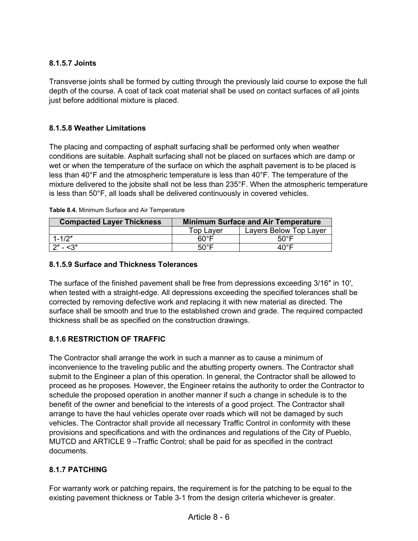## **8.1.5.7 Joints**

Transverse joints shall be formed by cutting through the previously laid course to expose the full depth of the course. A coat of tack coat material shall be used on contact surfaces of all joints just before additional mixture is placed.

### **8.1.5.8 Weather Limitations**

The placing and compacting of asphalt surfacing shall be performed only when weather conditions are suitable. Asphalt surfacing shall not be placed on surfaces which are damp or wet or when the temperature of the surface on which the asphalt pavement is to be placed is less than 40°F and the atmospheric temperature is less than 40°F. The temperature of the mixture delivered to the jobsite shall not be less than 235°F. When the atmospheric temperature is less than 50°F, all loads shall be delivered continuously in covered vehicles.

| <b>Compacted Layer Thickness</b> | <b>Minimum Surface and Air Temperature</b> |                        |  |
|----------------------------------|--------------------------------------------|------------------------|--|
|                                  | <b>Top Layer</b>                           | Layers Below Top Layer |  |
| $1 - 1/2"$                       | 60°F                                       | $50^{\circ}$ F         |  |
| 2″ - <3″                         | $50^{\circ}$ F                             | ⊿∩°F                   |  |

|  |  | Table 8.4. Minimum Surface and Air Temperature |
|--|--|------------------------------------------------|
|  |  |                                                |

### **8.1.5.9 Surface and Thickness Tolerances**

The surface of the finished pavement shall be free from depressions exceeding 3/16″ in 10′, when tested with a straight-edge. All depressions exceeding the specified tolerances shall be corrected by removing defective work and replacing it with new material as directed. The surface shall be smooth and true to the established crown and grade. The required compacted thickness shall be as specified on the construction drawings.

### **8.1.6 RESTRICTION OF TRAFFIC**

The Contractor shall arrange the work in such a manner as to cause a minimum of inconvenience to the traveling public and the abutting property owners. The Contractor shall submit to the Engineer a plan of this operation. In general, the Contractor shall be allowed to proceed as he proposes. However, the Engineer retains the authority to order the Contractor to schedule the proposed operation in another manner if such a change in schedule is to the benefit of the owner and beneficial to the interests of a good project. The Contractor shall arrange to have the haul vehicles operate over roads which will not be damaged by such vehicles. The Contractor shall provide all necessary Traffic Control in conformity with these provisions and specifications and with the ordinances and regulations of the City of Pueblo, MUTCD and ARTICLE 9 –Traffic Control; shall be paid for as specified in the contract documents.

### **8.1.7 PATCHING**

For warranty work or patching repairs, the requirement is for the patching to be equal to the existing pavement thickness or Table 3-1 from the design criteria whichever is greater.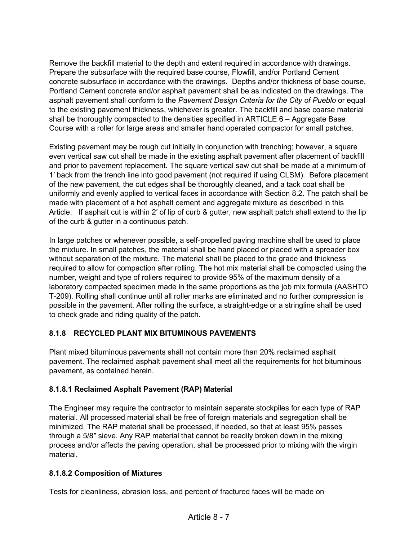Remove the backfill material to the depth and extent required in accordance with drawings. Prepare the subsurface with the required base course, Flowfill, and/or Portland Cement concrete subsurface in accordance with the drawings. Depths and/or thickness of base course, Portland Cement concrete and/or asphalt pavement shall be as indicated on the drawings. The asphalt pavement shall conform to the *Pavement Design Criteria for the City of Pueblo* or equal to the existing pavement thickness, whichever is greater. The backfill and base coarse material shall be thoroughly compacted to the densities specified in ARTICLE  $6 -$  Aggregate Base Course with a roller for large areas and smaller hand operated compactor for small patches.

Existing pavement may be rough cut initially in conjunction with trenching; however, a square even vertical saw cut shall be made in the existing asphalt pavement after placement of backfill and prior to pavement replacement. The square vertical saw cut shall be made at a minimum of 1′ back from the trench line into good pavement (not required if using CLSM). Before placement of the new pavement, the cut edges shall be thoroughly cleaned, and a tack coat shall be uniformly and evenly applied to vertical faces in accordance with Section 8.2. The patch shall be made with placement of a hot asphalt cement and aggregate mixture as described in this Article. If asphalt cut is within 2' of lip of curb & gutter, new asphalt patch shall extend to the lip of the curb & gutter in a continuous patch.

In large patches or whenever possible, a self-propelled paving machine shall be used to place the mixture. In small patches, the material shall be hand placed or placed with a spreader box without separation of the mixture. The material shall be placed to the grade and thickness required to allow for compaction after rolling. The hot mix material shall be compacted using the number, weight and type of rollers required to provide 95% of the maximum density of a laboratory compacted specimen made in the same proportions as the job mix formula (AASHTO T-209). Rolling shall continue until all roller marks are eliminated and no further compression is possible in the pavement. After rolling the surface, a straight-edge or a stringline shall be used to check grade and riding quality of the patch.

### **8.1.8 RECYCLED PLANT MIX BITUMINOUS PAVEMENTS**

Plant mixed bituminous pavements shall not contain more than 20% reclaimed asphalt pavement. The reclaimed asphalt pavement shall meet all the requirements for hot bituminous pavement, as contained herein.

### **8.1.8.1 Reclaimed Asphalt Pavement (RAP) Material**

The Engineer may require the contractor to maintain separate stockpiles for each type of RAP material. All processed material shall be free of foreign materials and segregation shall be minimized. The RAP material shall be processed, if needed, so that at least 95% passes through a 5/8″ sieve. Any RAP material that cannot be readily broken down in the mixing process and/or affects the paving operation, shall be processed prior to mixing with the virgin material.

### **8.1.8.2 Composition of Mixtures**

Tests for cleanliness, abrasion loss, and percent of fractured faces will be made on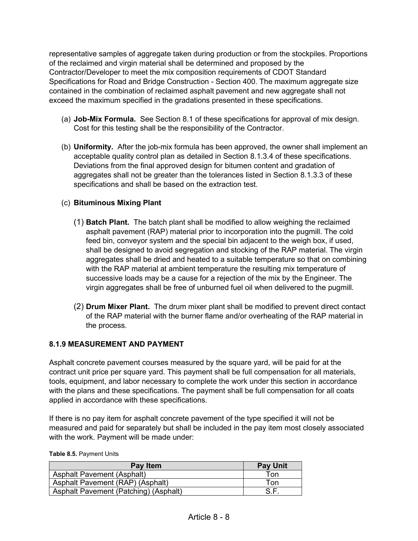representative samples of aggregate taken during production or from the stockpiles. Proportions of the reclaimed and virgin material shall be determined and proposed by the Contractor/Developer to meet the mix composition requirements of CDOT Standard Specifications for Road and Bridge Construction - Section 400. The maximum aggregate size contained in the combination of reclaimed asphalt pavement and new aggregate shall not exceed the maximum specified in the gradations presented in these specifications.

- (a) **Job-Mix Formula.** See Section 8.1 of these specifications for approval of mix design. Cost for this testing shall be the responsibility of the Contractor.
- (b) **Uniformity.** After the job-mix formula has been approved, the owner shall implement an acceptable quality control plan as detailed in Section 8.1.3.4 of these specifications. Deviations from the final approved design for bitumen content and gradation of aggregates shall not be greater than the tolerances listed in Section 8.1.3.3 of these specifications and shall be based on the extraction test.

### (c) **Bituminous Mixing Plant**

- (1) **Batch Plant.** The batch plant shall be modified to allow weighing the reclaimed asphalt pavement (RAP) material prior to incorporation into the pugmill. The cold feed bin, conveyor system and the special bin adjacent to the weigh box, if used, shall be designed to avoid segregation and stocking of the RAP material. The virgin aggregates shall be dried and heated to a suitable temperature so that on combining with the RAP material at ambient temperature the resulting mix temperature of successive loads may be a cause for a rejection of the mix by the Engineer. The virgin aggregates shall be free of unburned fuel oil when delivered to the pugmill.
- (2) **Drum Mixer Plant.** The drum mixer plant shall be modified to prevent direct contact of the RAP material with the burner flame and/or overheating of the RAP material in the process.

### **8.1.9 MEASUREMENT AND PAYMENT**

Asphalt concrete pavement courses measured by the square yard, will be paid for at the contract unit price per square yard. This payment shall be full compensation for all materials, tools, equipment, and labor necessary to complete the work under this section in accordance with the plans and these specifications. The payment shall be full compensation for all coats applied in accordance with these specifications.

If there is no pay item for asphalt concrete pavement of the type specified it will not be measured and paid for separately but shall be included in the pay item most closely associated with the work. Payment will be made under:

#### **Table 8.5.** Payment Units

| Pay Item                              | <b>Pay Unit</b> |
|---------------------------------------|-----------------|
| <b>Asphalt Pavement (Asphalt)</b>     | Ton             |
| Asphalt Pavement (RAP) (Asphalt)      | Ton             |
| Asphalt Pavement (Patching) (Asphalt) |                 |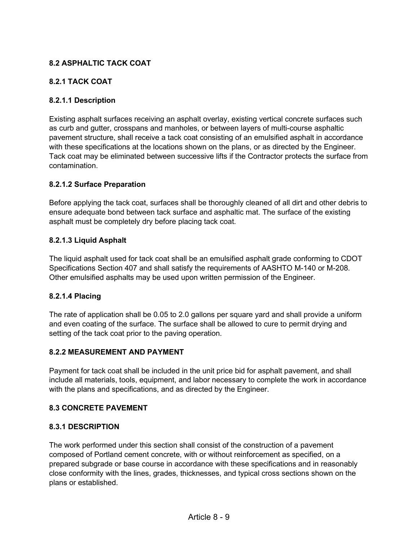## **8.2 ASPHALTIC TACK COAT**

### **8.2.1 TACK COAT**

### **8.2.1.1 Description**

Existing asphalt surfaces receiving an asphalt overlay, existing vertical concrete surfaces such as curb and gutter, crosspans and manholes, or between layers of multi-course asphaltic pavement structure, shall receive a tack coat consisting of an emulsified asphalt in accordance with these specifications at the locations shown on the plans, or as directed by the Engineer. Tack coat may be eliminated between successive lifts if the Contractor protects the surface from contamination.

### **8.2.1.2 Surface Preparation**

Before applying the tack coat, surfaces shall be thoroughly cleaned of all dirt and other debris to ensure adequate bond between tack surface and asphaltic mat. The surface of the existing asphalt must be completely dry before placing tack coat.

### **8.2.1.3 Liquid Asphalt**

The liquid asphalt used for tack coat shall be an emulsified asphalt grade conforming to CDOT Specifications Section 407 and shall satisfy the requirements of AASHTO M-140 or M-208. Other emulsified asphalts may be used upon written permission of the Engineer.

#### **8.2.1.4 Placing**

The rate of application shall be 0.05 to 2.0 gallons per square yard and shall provide a uniform and even coating of the surface. The surface shall be allowed to cure to permit drying and setting of the tack coat prior to the paving operation.

#### **8.2.2 MEASUREMENT AND PAYMENT**

Payment for tack coat shall be included in the unit price bid for asphalt pavement, and shall include all materials, tools, equipment, and labor necessary to complete the work in accordance with the plans and specifications, and as directed by the Engineer.

#### **8.3 CONCRETE PAVEMENT**

#### **8.3.1 DESCRIPTION**

The work performed under this section shall consist of the construction of a pavement composed of Portland cement concrete, with or without reinforcement as specified, on a prepared subgrade or base course in accordance with these specifications and in reasonably close conformity with the lines, grades, thicknesses, and typical cross sections shown on the plans or established.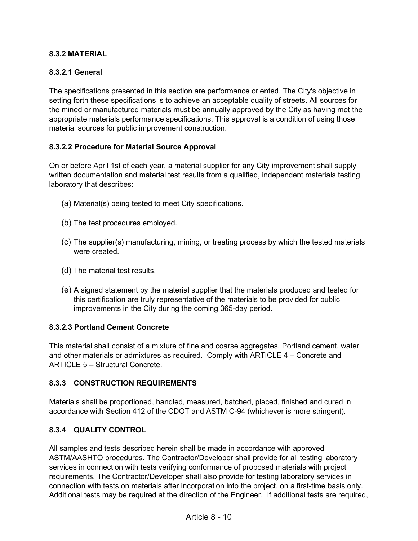### **8.3.2 MATERIAL**

### **8.3.2.1 General**

The specifications presented in this section are performance oriented. The City's objective in setting forth these specifications is to achieve an acceptable quality of streets. All sources for the mined or manufactured materials must be annually approved by the City as having met the appropriate materials performance specifications. This approval is a condition of using those material sources for public improvement construction.

#### **8.3.2.2 Procedure for Material Source Approval**

On or before April 1st of each year, a material supplier for any City improvement shall supply written documentation and material test results from a qualified, independent materials testing laboratory that describes:

- (a) Material(s) being tested to meet City specifications.
- (b) The test procedures employed.
- (c) The supplier(s) manufacturing, mining, or treating process by which the tested materials were created.
- (d) The material test results.
- (e) A signed statement by the material supplier that the materials produced and tested for this certification are truly representative of the materials to be provided for public improvements in the City during the coming 365-day period.

#### **8.3.2.3 Portland Cement Concrete**

This material shall consist of a mixture of fine and coarse aggregates, Portland cement, water and other materials or admixtures as required. Comply with ARTICLE 4 – Concrete and ARTICLE 5 – Structural Concrete.

#### **8.3.3 CONSTRUCTION REQUIREMENTS**

Materials shall be proportioned, handled, measured, batched, placed, finished and cured in accordance with Section 412 of the CDOT and ASTM C-94 (whichever is more stringent).

#### **8.3.4 QUALITY CONTROL**

All samples and tests described herein shall be made in accordance with approved ASTM/AASHTO procedures. The Contractor/Developer shall provide for all testing laboratory services in connection with tests verifying conformance of proposed materials with project requirements. The Contractor/Developer shall also provide for testing laboratory services in connection with tests on materials after incorporation into the project, on a first-time basis only. Additional tests may be required at the direction of the Engineer. If additional tests are required,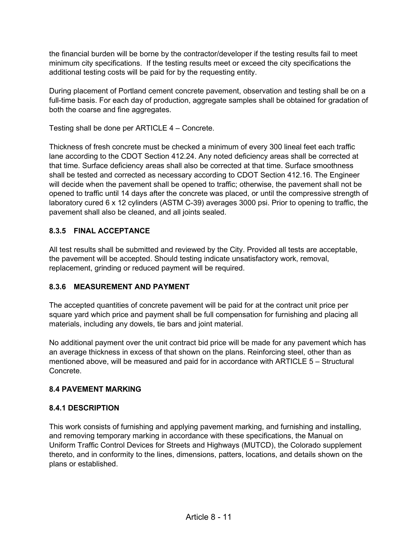the financial burden will be borne by the contractor/developer if the testing results fail to meet minimum city specifications. If the testing results meet or exceed the city specifications the additional testing costs will be paid for by the requesting entity.

During placement of Portland cement concrete pavement, observation and testing shall be on a full-time basis. For each day of production, aggregate samples shall be obtained for gradation of both the coarse and fine aggregates.

Testing shall be done per ARTICLE 4 – Concrete.

Thickness of fresh concrete must be checked a minimum of every 300 lineal feet each traffic lane according to the CDOT Section 412.24. Any noted deficiency areas shall be corrected at that time. Surface deficiency areas shall also be corrected at that time. Surface smoothness shall be tested and corrected as necessary according to CDOT Section 412.16. The Engineer will decide when the pavement shall be opened to traffic; otherwise, the pavement shall not be opened to traffic until 14 days after the concrete was placed, or until the compressive strength of laboratory cured 6 x 12 cylinders (ASTM C-39) averages 3000 psi. Prior to opening to traffic, the pavement shall also be cleaned, and all joints sealed.

## **8.3.5 FINAL ACCEPTANCE**

All test results shall be submitted and reviewed by the City. Provided all tests are acceptable, the pavement will be accepted. Should testing indicate unsatisfactory work, removal, replacement, grinding or reduced payment will be required.

### **8.3.6 MEASUREMENT AND PAYMENT**

The accepted quantities of concrete pavement will be paid for at the contract unit price per square yard which price and payment shall be full compensation for furnishing and placing all materials, including any dowels, tie bars and joint material.

No additional payment over the unit contract bid price will be made for any pavement which has an average thickness in excess of that shown on the plans. Reinforcing steel, other than as mentioned above, will be measured and paid for in accordance with ARTICLE 5 – Structural Concrete.

### **8.4 PAVEMENT MARKING**

### **8.4.1 DESCRIPTION**

This work consists of furnishing and applying pavement marking, and furnishing and installing, and removing temporary marking in accordance with these specifications, the Manual on Uniform Traffic Control Devices for Streets and Highways (MUTCD), the Colorado supplement thereto, and in conformity to the lines, dimensions, patters, locations, and details shown on the plans or established.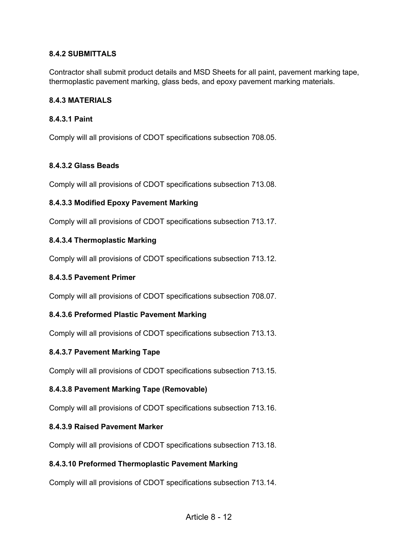### **8.4.2 SUBMITTALS**

Contractor shall submit product details and MSD Sheets for all paint, pavement marking tape, thermoplastic pavement marking, glass beds, and epoxy pavement marking materials.

#### **8.4.3 MATERIALS**

### **8.4.3.1 Paint**

Comply will all provisions of CDOT specifications subsection 708.05.

### **8.4.3.2 Glass Beads**

Comply will all provisions of CDOT specifications subsection 713.08.

### **8.4.3.3 Modified Epoxy Pavement Marking**

Comply will all provisions of CDOT specifications subsection 713.17.

### **8.4.3.4 Thermoplastic Marking**

Comply will all provisions of CDOT specifications subsection 713.12.

#### **8.4.3.5 Pavement Primer**

Comply will all provisions of CDOT specifications subsection 708.07.

#### **8.4.3.6 Preformed Plastic Pavement Marking**

Comply will all provisions of CDOT specifications subsection 713.13.

#### **8.4.3.7 Pavement Marking Tape**

Comply will all provisions of CDOT specifications subsection 713.15.

### **8.4.3.8 Pavement Marking Tape (Removable)**

Comply will all provisions of CDOT specifications subsection 713.16.

#### **8.4.3.9 Raised Pavement Marker**

Comply will all provisions of CDOT specifications subsection 713.18.

#### **8.4.3.10 Preformed Thermoplastic Pavement Marking**

Comply will all provisions of CDOT specifications subsection 713.14.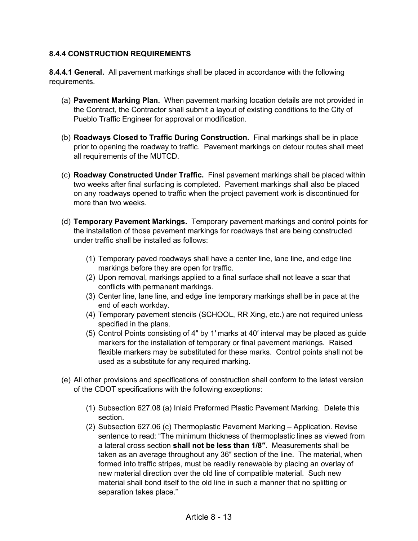### **8.4.4 CONSTRUCTION REQUIREMENTS**

**8.4.4.1 General.** All pavement markings shall be placed in accordance with the following requirements.

- (a) **Pavement Marking Plan.** When pavement marking location details are not provided in the Contract, the Contractor shall submit a layout of existing conditions to the City of Pueblo Traffic Engineer for approval or modification.
- (b) **Roadways Closed to Traffic During Construction.** Final markings shall be in place prior to opening the roadway to traffic. Pavement markings on detour routes shall meet all requirements of the MUTCD.
- (c) **Roadway Constructed Under Traffic.** Final pavement markings shall be placed within two weeks after final surfacing is completed. Pavement markings shall also be placed on any roadways opened to traffic when the project pavement work is discontinued for more than two weeks.
- (d) **Temporary Pavement Markings.** Temporary pavement markings and control points for the installation of those pavement markings for roadways that are being constructed under traffic shall be installed as follows:
	- (1) Temporary paved roadways shall have a center line, lane line, and edge line markings before they are open for traffic.
	- (2) Upon removal, markings applied to a final surface shall not leave a scar that conflicts with permanent markings.
	- (3) Center line, lane line, and edge line temporary markings shall be in pace at the end of each workday.
	- (4) Temporary pavement stencils (SCHOOL, RR Xing, etc.) are not required unless specified in the plans.
	- (5) Control Points consisting of 4″ by 1′ marks at 40′ interval may be placed as guide markers for the installation of temporary or final pavement markings. Raised flexible markers may be substituted for these marks. Control points shall not be used as a substitute for any required marking.
- (e) All other provisions and specifications of construction shall conform to the latest version of the CDOT specifications with the following exceptions:
	- (1) Subsection 627.08 (a) Inlaid Preformed Plastic Pavement Marking. Delete this section.
	- (2) Subsection 627.06 (c) Thermoplastic Pavement Marking Application. Revise sentence to read: "The minimum thickness of thermoplastic lines as viewed from a lateral cross section **shall not be less than 1/8″**. Measurements shall be taken as an average throughout any 36″ section of the line. The material, when formed into traffic stripes, must be readily renewable by placing an overlay of new material direction over the old line of compatible material. Such new material shall bond itself to the old line in such a manner that no splitting or separation takes place."